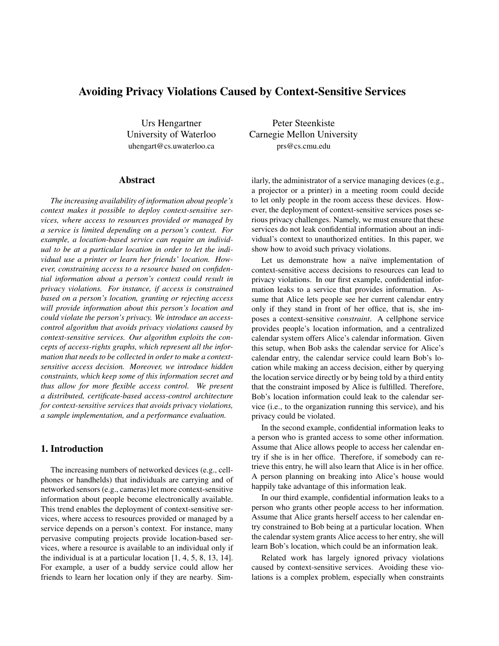# **Avoiding Privacy Violations Caused by Context-Sensitive Services**

Urs Hengartner University of Waterloo uhengart@cs.uwaterloo.ca

## **Abstract**

*The increasing availability of information about people's context makes it possible to deploy context-sensitive services, where access to resources provided or managed by a service is limited depending on a person's context. For example, a location-based service can require an individual to be at a particular location in order to let the individual use a printer or learn her friends' location. However, constraining access to a resource based on confidential information about a person's context could result in privacy violations. For instance, if access is constrained based on a person's location, granting or rejecting access will provide information about this person's location and could violate the person's privacy. We introduce an accesscontrol algorithm that avoids privacy violations caused by context-sensitive services. Our algorithm exploits the concepts of access-rights graphs, which represent all the information that needs to be collected in order to make a contextsensitive access decision. Moreover, we introduce hidden constraints, which keep some of this information secret and thus allow for more flexible access control. We present a distributed, certificate-based access-control architecture for context-sensitive services that avoids privacy violations, a sample implementation, and a performance evaluation.*

# **1. Introduction**

The increasing numbers of networked devices (e.g., cellphones or handhelds) that individuals are carrying and of networked sensors(e.g., cameras) let more context-sensitive information about people become electronically available. This trend enables the deployment of context-sensitive services, where access to resources provided or managed by a service depends on a person's context. For instance, many pervasive computing projects provide location-based services, where a resource is available to an individual only if the individual is at a particular location [1, 4, 5, 8, 13, 14]. For example, a user of a buddy service could allow her friends to learn her location only if they are nearby. Sim-

Peter Steenkiste Carnegie Mellon University prs@cs.cmu.edu

ilarly, the administrator of a service managing devices (e.g., a projector or a printer) in a meeting room could decide to let only people in the room access these devices. However, the deployment of context-sensitive services poses serious privacy challenges. Namely, we must ensure that these services do not leak confidential information about an individual's context to unauthorized entities. In this paper, we show how to avoid such privacy violations.

Let us demonstrate how a naïve implementation of context-sensitive access decisions to resources can lead to privacy violations. In our first example, confidential information leaks to a service that provides information. Assume that Alice lets people see her current calendar entry only if they stand in front of her office, that is, she imposes a context-sensitive *constraint*. A cellphone service provides people's location information, and a centralized calendar system offers Alice's calendar information. Given this setup, when Bob asks the calendar service for Alice's calendar entry, the calendar service could learn Bob's location while making an access decision, either by querying the location service directly or by being told by a third entity that the constraint imposed by Alice is fulfilled. Therefore, Bob's location information could leak to the calendar service (i.e., to the organization running this service), and his privacy could be violated.

In the second example, confidential information leaks to a person who is granted access to some other information. Assume that Alice allows people to access her calendar entry if she is in her office. Therefore, if somebody can retrieve this entry, he will also learn that Alice is in her office. A person planning on breaking into Alice's house would happily take advantage of this information leak.

In our third example, confidential information leaks to a person who grants other people access to her information. Assume that Alice grants herself access to her calendar entry constrained to Bob being at a particular location. When the calendar system grants Alice access to her entry, she will learn Bob's location, which could be an information leak.

Related work has largely ignored privacy violations caused by context-sensitive services. Avoiding these violations is a complex problem, especially when constraints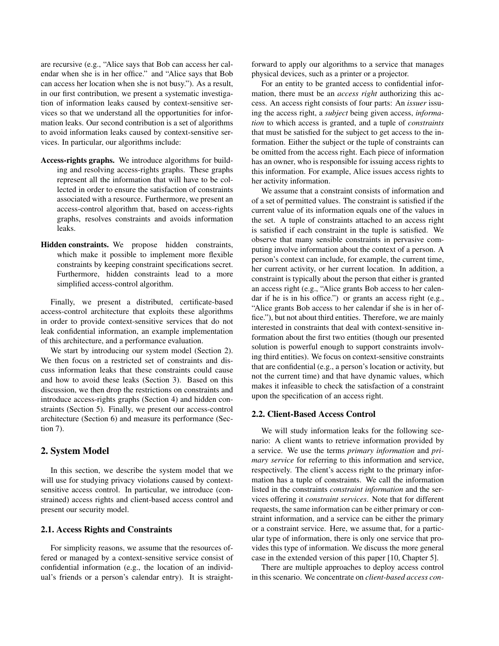are recursive (e.g., "Alice says that Bob can access her calendar when she is in her office." and "Alice says that Bob can access her location when she is not busy."). As a result, in our first contribution, we present a systematic investigation of information leaks caused by context-sensitive services so that we understand all the opportunities for information leaks. Our second contribution is a set of algorithms to avoid information leaks caused by context-sensitive services. In particular, our algorithms include:

- **Access-rights graphs.** We introduce algorithms for building and resolving access-rights graphs. These graphs represent all the information that will have to be collected in order to ensure the satisfaction of constraints associated with a resource. Furthermore, we present an access-control algorithm that, based on access-rights graphs, resolves constraints and avoids information leaks.
- **Hidden constraints.** We propose hidden constraints, which make it possible to implement more flexible constraints by keeping constraint specifications secret. Furthermore, hidden constraints lead to a more simplified access-control algorithm.

Finally, we present a distributed, certificate-based access-control architecture that exploits these algorithms in order to provide context-sensitive services that do not leak confidential information, an example implementation of this architecture, and a performance evaluation.

We start by introducing our system model (Section 2). We then focus on a restricted set of constraints and discuss information leaks that these constraints could cause and how to avoid these leaks (Section 3). Based on this discussion, we then drop the restrictions on constraints and introduce access-rights graphs (Section 4) and hidden constraints (Section 5). Finally, we present our access-control architecture (Section 6) and measure its performance (Section 7).

## **2. System Model**

In this section, we describe the system model that we will use for studying privacy violations caused by contextsensitive access control. In particular, we introduce (constrained) access rights and client-based access control and present our security model.

## **2.1. Access Rights and Constraints**

For simplicity reasons, we assume that the resources offered or managed by a context-sensitive service consist of confidential information (e.g., the location of an individual's friends or a person's calendar entry). It is straightforward to apply our algorithms to a service that manages physical devices, such as a printer or a projector.

For an entity to be granted access to confidential information, there must be an *access right* authorizing this access. An access right consists of four parts: An *issuer* issuing the access right, a *subject* being given access, *information* to which access is granted, and a tuple of *constraints* that must be satisfied for the subject to get access to the information. Either the subject or the tuple of constraints can be omitted from the access right. Each piece of information has an owner, who is responsible for issuing access rights to this information. For example, Alice issues access rights to her activity information.

We assume that a constraint consists of information and of a set of permitted values. The constraint is satisfied if the current value of its information equals one of the values in the set. A tuple of constraints attached to an access right is satisfied if each constraint in the tuple is satisfied. We observe that many sensible constraints in pervasive computing involve information about the context of a person. A person's context can include, for example, the current time, her current activity, or her current location. In addition, a constraint is typically about the person that either is granted an access right (e.g., "Alice grants Bob access to her calendar if he is in his office.") or grants an access right (e.g., "Alice grants Bob access to her calendar if she is in her office."), but not about third entities. Therefore, we are mainly interested in constraints that deal with context-sensitive information about the first two entities (though our presented solution is powerful enough to support constraints involving third entities). We focus on context-sensitive constraints that are confidential (e.g., a person's location or activity, but not the current time) and that have dynamic values, which makes it infeasible to check the satisfaction of a constraint upon the specification of an access right.

#### **2.2. Client-Based Access Control**

We will study information leaks for the following scenario: A client wants to retrieve information provided by a service. We use the terms *primary information* and *primary service* for referring to this information and service, respectively. The client's access right to the primary information has a tuple of constraints. We call the information listed in the constraints *constraint information* and the services offering it *constraint services*. Note that for different requests, the same information can be either primary or constraint information, and a service can be either the primary or a constraint service. Here, we assume that, for a particular type of information, there is only one service that provides this type of information. We discuss the more general case in the extended version of this paper [10, Chapter 5].

There are multiple approaches to deploy access control in this scenario. We concentrate on *client-based access con-*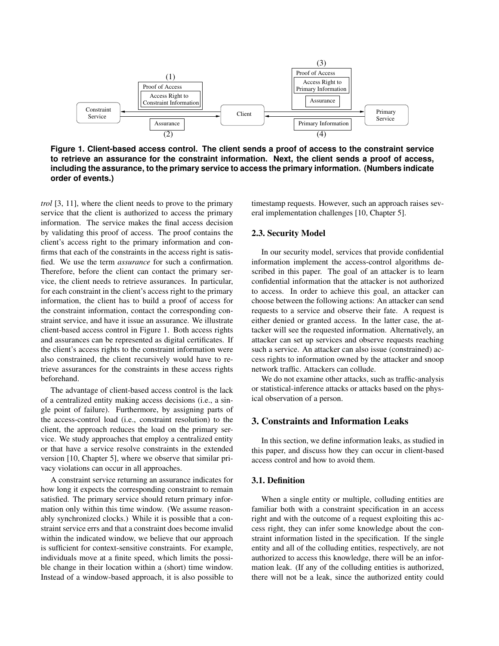

**Figure 1. Client-based access control. The client sends a proof of access to the constraint service to retrieve an assurance for the constraint information. Next, the client sends a proof of access, including the assurance, to the primary service to access the primary information. (Numbers indicate order of events.)**

*trol* [3, 11], where the client needs to prove to the primary service that the client is authorized to access the primary information. The service makes the final access decision by validating this proof of access. The proof contains the client's access right to the primary information and confirms that each of the constraints in the access right is satisfied. We use the term *assurance* for such a confirmation. Therefore, before the client can contact the primary service, the client needs to retrieve assurances. In particular, for each constraint in the client's access right to the primary information, the client has to build a proof of access for the constraint information, contact the corresponding constraint service, and have it issue an assurance. We illustrate client-based access control in Figure 1. Both access rights and assurances can be represented as digital certificates. If the client's access rights to the constraint information were also constrained, the client recursively would have to retrieve assurances for the constraints in these access rights beforehand.

The advantage of client-based access control is the lack of a centralized entity making access decisions (i.e., a single point of failure). Furthermore, by assigning parts of the access-control load (i.e., constraint resolution) to the client, the approach reduces the load on the primary service. We study approaches that employ a centralized entity or that have a service resolve constraints in the extended version [10, Chapter 5], where we observe that similar privacy violations can occur in all approaches.

A constraint service returning an assurance indicates for how long it expects the corresponding constraint to remain satisfied. The primary service should return primary information only within this time window. (We assume reasonably synchronized clocks.) While it is possible that a constraint service errs and that a constraint does become invalid within the indicated window, we believe that our approach is sufficient for context-sensitive constraints. For example, individuals move at a finite speed, which limits the possible change in their location within a (short) time window. Instead of a window-based approach, it is also possible to

timestamp requests. However, such an approach raises several implementation challenges [10, Chapter 5].

## **2.3. Security Model**

In our security model, services that provide confidential information implement the access-control algorithms described in this paper. The goal of an attacker is to learn confidential information that the attacker is not authorized to access. In order to achieve this goal, an attacker can choose between the following actions: An attacker can send requests to a service and observe their fate. A request is either denied or granted access. In the latter case, the attacker will see the requested information. Alternatively, an attacker can set up services and observe requests reaching such a service. An attacker can also issue (constrained) access rights to information owned by the attacker and snoop network traffic. Attackers can collude.

We do not examine other attacks, such as traffic-analysis or statistical-inference attacks or attacks based on the physical observation of a person.

### **3. Constraints and Information Leaks**

In this section, we define information leaks, as studied in this paper, and discuss how they can occur in client-based access control and how to avoid them.

### **3.1. Definition**

When a single entity or multiple, colluding entities are familiar both with a constraint specification in an access right and with the outcome of a request exploiting this access right, they can infer some knowledge about the constraint information listed in the specification. If the single entity and all of the colluding entities, respectively, are not authorized to access this knowledge, there will be an information leak. (If any of the colluding entities is authorized, there will not be a leak, since the authorized entity could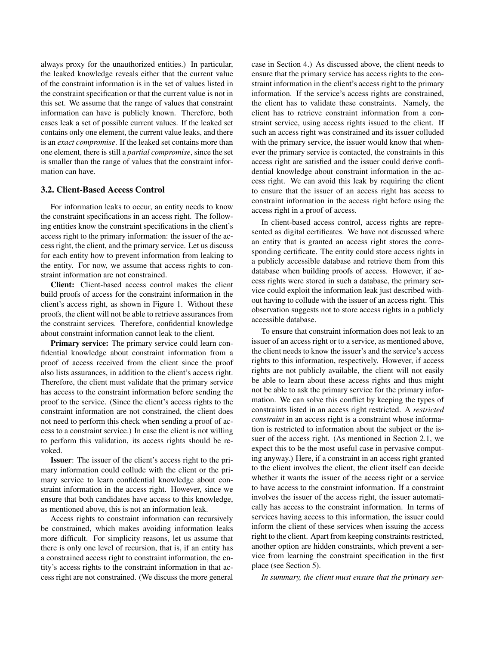always proxy for the unauthorized entities.) In particular, the leaked knowledge reveals either that the current value of the constraint information is in the set of values listed in the constraint specification or that the current value is not in this set. We assume that the range of values that constraint information can have is publicly known. Therefore, both cases leak a set of possible current values. If the leaked set contains only one element, the current value leaks, and there is an *exact compromise*. If the leaked set contains more than one element, there is still a *partial compromise*, since the set is smaller than the range of values that the constraint information can have.

#### **3.2. Client-Based Access Control**

For information leaks to occur, an entity needs to know the constraint specifications in an access right. The following entities know the constraint specifications in the client's access right to the primary information: the issuer of the access right, the client, and the primary service. Let us discuss for each entity how to prevent information from leaking to the entity. For now, we assume that access rights to constraint information are not constrained.

**Client:** Client-based access control makes the client build proofs of access for the constraint information in the client's access right, as shown in Figure 1. Without these proofs, the client will not be able to retrieve assurances from the constraint services. Therefore, confidential knowledge about constraint information cannot leak to the client.

**Primary service:** The primary service could learn confidential knowledge about constraint information from a proof of access received from the client since the proof also lists assurances, in addition to the client's access right. Therefore, the client must validate that the primary service has access to the constraint information before sending the proof to the service. (Since the client's access rights to the constraint information are not constrained, the client does not need to perform this check when sending a proof of access to a constraint service.) In case the client is not willing to perform this validation, its access rights should be revoked.

**Issuer**: The issuer of the client's access right to the primary information could collude with the client or the primary service to learn confidential knowledge about constraint information in the access right. However, since we ensure that both candidates have access to this knowledge, as mentioned above, this is not an information leak.

Access rights to constraint information can recursively be constrained, which makes avoiding information leaks more difficult. For simplicity reasons, let us assume that there is only one level of recursion, that is, if an entity has a constrained access right to constraint information, the entity's access rights to the constraint information in that access right are not constrained. (We discuss the more general case in Section 4.) As discussed above, the client needs to ensure that the primary service has access rights to the constraint information in the client's access right to the primary information. If the service's access rights are constrained, the client has to validate these constraints. Namely, the client has to retrieve constraint information from a constraint service, using access rights issued to the client. If such an access right was constrained and its issuer colluded with the primary service, the issuer would know that whenever the primary service is contacted, the constraints in this access right are satisfied and the issuer could derive confidential knowledge about constraint information in the access right. We can avoid this leak by requiring the client to ensure that the issuer of an access right has access to constraint information in the access right before using the access right in a proof of access.

In client-based access control, access rights are represented as digital certificates. We have not discussed where an entity that is granted an access right stores the corresponding certificate. The entity could store access rights in a publicly accessible database and retrieve them from this database when building proofs of access. However, if access rights were stored in such a database, the primary service could exploit the information leak just described without having to collude with the issuer of an access right. This observation suggests not to store access rights in a publicly accessible database.

To ensure that constraint information does not leak to an issuer of an access right or to a service, as mentioned above, the client needs to know the issuer's and the service's access rights to this information, respectively. However, if access rights are not publicly available, the client will not easily be able to learn about these access rights and thus might not be able to ask the primary service for the primary information. We can solve this conflict by keeping the types of constraints listed in an access right restricted. A *restricted constraint* in an access right is a constraint whose information is restricted to information about the subject or the issuer of the access right. (As mentioned in Section 2.1, we expect this to be the most useful case in pervasive computing anyway.) Here, if a constraint in an access right granted to the client involves the client, the client itself can decide whether it wants the issuer of the access right or a service to have access to the constraint information. If a constraint involves the issuer of the access right, the issuer automatically has access to the constraint information. In terms of services having access to this information, the issuer could inform the client of these services when issuing the access right to the client. Apart from keeping constraints restricted, another option are hidden constraints, which prevent a service from learning the constraint specification in the first place (see Section 5).

*In summary, the client must ensure that the primary ser-*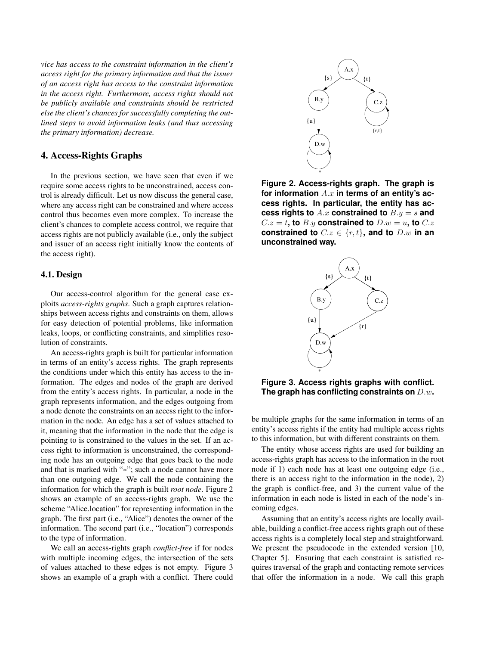*vice has access to the constraint information in the client's access right for the primary information and that the issuer of an access right has access to the constraint information in the access right. Furthermore, access rights should not be publicly available and constraints should be restricted else the client's chances for successfully completing the outlined steps to avoid information leaks (and thus accessing the primary information) decrease.*

### **4. Access-Rights Graphs**

In the previous section, we have seen that even if we require some access rights to be unconstrained, access control is already difficult. Let us now discuss the general case, where any access right can be constrained and where access control thus becomes even more complex. To increase the client's chances to complete access control, we require that access rights are not publicly available (i.e., only the subject and issuer of an access right initially know the contents of the access right).

#### **4.1. Design**

Our access-control algorithm for the general case exploits *access-rights graphs*. Such a graph captures relationships between access rights and constraints on them, allows for easy detection of potential problems, like information leaks, loops, or conflicting constraints, and simplifies resolution of constraints.

An access-rights graph is built for particular information in terms of an entity's access rights. The graph represents the conditions under which this entity has access to the information. The edges and nodes of the graph are derived from the entity's access rights. In particular, a node in the graph represents information, and the edges outgoing from a node denote the constraints on an access right to the information in the node. An edge has a set of values attached to it, meaning that the information in the node that the edge is pointing to is constrained to the values in the set. If an access right to information is unconstrained, the corresponding node has an outgoing edge that goes back to the node and that is marked with "∗"; such a node cannot have more than one outgoing edge. We call the node containing the information for which the graph is built *root node*. Figure 2 shows an example of an access-rights graph. We use the scheme "Alice.location" for representing information in the graph. The first part (i.e., "Alice") denotes the owner of the information. The second part (i.e., "location") corresponds to the type of information.

We call an access-rights graph *conflict-free* if for nodes with multiple incoming edges, the intersection of the sets of values attached to these edges is not empty. Figure 3 shows an example of a graph with a conflict. There could



**Figure 2. Access-rights graph. The graph is for information** A.x **in terms of an entity's access rights. In particular, the entity has access rights to**  $A.x$  **constrained to**  $B.y = s$  **and**  $C.z = t$ , to  $B.y$  constrained to  $D.w = u$ , to  $C.z$ **constrained to**  $C.z \in \{r,t\}$ , and to  $D.w$  in an **unconstrained way.**



**Figure 3. Access rights graphs with conflict. The graph has conflicting constraints on** D.w**.**

be multiple graphs for the same information in terms of an entity's access rights if the entity had multiple access rights to this information, but with different constraints on them.

The entity whose access rights are used for building an access-rights graph has access to the information in the root node if 1) each node has at least one outgoing edge (i.e., there is an access right to the information in the node), 2) the graph is conflict-free, and 3) the current value of the information in each node is listed in each of the node's incoming edges.

Assuming that an entity's access rights are locally available, building a conflict-free access rights graph out of these access rights is a completely local step and straightforward. We present the pseudocode in the extended version [10, Chapter 5]. Ensuring that each constraint is satisfied requires traversal of the graph and contacting remote services that offer the information in a node. We call this graph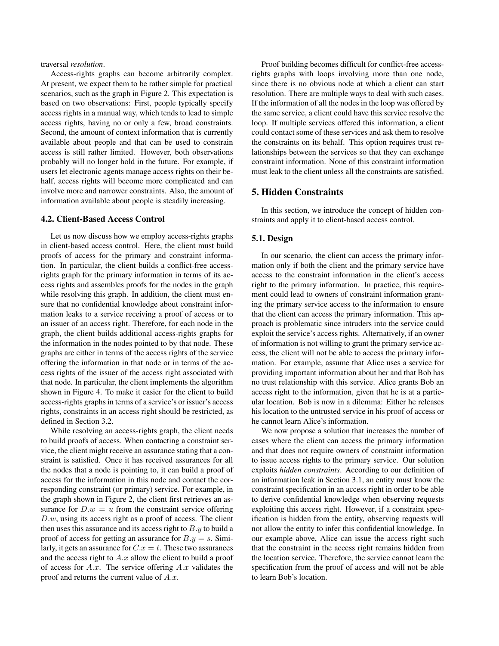#### traversal *resolution*.

Access-rights graphs can become arbitrarily complex. At present, we expect them to be rather simple for practical scenarios, such as the graph in Figure 2. This expectation is based on two observations: First, people typically specify access rights in a manual way, which tends to lead to simple access rights, having no or only a few, broad constraints. Second, the amount of context information that is currently available about people and that can be used to constrain access is still rather limited. However, both observations probably will no longer hold in the future. For example, if users let electronic agents manage access rights on their behalf, access rights will become more complicated and can involve more and narrower constraints. Also, the amount of information available about people is steadily increasing.

#### **4.2. Client-Based Access Control**

Let us now discuss how we employ access-rights graphs in client-based access control. Here, the client must build proofs of access for the primary and constraint information. In particular, the client builds a conflict-free accessrights graph for the primary information in terms of its access rights and assembles proofs for the nodes in the graph while resolving this graph. In addition, the client must ensure that no confidential knowledge about constraint information leaks to a service receiving a proof of access or to an issuer of an access right. Therefore, for each node in the graph, the client builds additional access-rights graphs for the information in the nodes pointed to by that node. These graphs are either in terms of the access rights of the service offering the information in that node or in terms of the access rights of the issuer of the access right associated with that node. In particular, the client implements the algorithm shown in Figure 4. To make it easier for the client to build access-rights graphs in terms of a service's or issuer's access rights, constraints in an access right should be restricted, as defined in Section 3.2.

While resolving an access-rights graph, the client needs to build proofs of access. When contacting a constraint service, the client might receive an assurance stating that a constraint is satisfied. Once it has received assurances for all the nodes that a node is pointing to, it can build a proof of access for the information in this node and contact the corresponding constraint (or primary) service. For example, in the graph shown in Figure 2, the client first retrieves an assurance for  $D.w = u$  from the constraint service offering  $D.w$ , using its access right as a proof of access. The client then uses this assurance and its access right to  $B.y$  to build a proof of access for getting an assurance for  $B.y = s$ . Similarly, it gets an assurance for  $C.x = t$ . These two assurances and the access right to  $A.x$  allow the client to build a proof of access for  $A.x$ . The service offering  $A.x$  validates the proof and returns the current value of A.x.

Proof building becomes difficult for conflict-free accessrights graphs with loops involving more than one node, since there is no obvious node at which a client can start resolution. There are multiple ways to deal with such cases. If the information of all the nodes in the loop was offered by the same service, a client could have this service resolve the loop. If multiple services offered this information, a client could contact some of these services and ask them to resolve the constraints on its behalf. This option requires trust relationships between the services so that they can exchange constraint information. None of this constraint information must leak to the client unless all the constraints are satisfied.

## **5. Hidden Constraints**

In this section, we introduce the concept of hidden constraints and apply it to client-based access control.

#### **5.1. Design**

In our scenario, the client can access the primary information only if both the client and the primary service have access to the constraint information in the client's access right to the primary information. In practice, this requirement could lead to owners of constraint information granting the primary service access to the information to ensure that the client can access the primary information. This approach is problematic since intruders into the service could exploit the service's access rights. Alternatively, if an owner of information is not willing to grant the primary service access, the client will not be able to access the primary information. For example, assume that Alice uses a service for providing important information about her and that Bob has no trust relationship with this service. Alice grants Bob an access right to the information, given that he is at a particular location. Bob is now in a dilemma: Either he releases his location to the untrusted service in his proof of access or he cannot learn Alice's information.

We now propose a solution that increases the number of cases where the client can access the primary information and that does not require owners of constraint information to issue access rights to the primary service. Our solution exploits *hidden constraints*. According to our definition of an information leak in Section 3.1, an entity must know the constraint specification in an access right in order to be able to derive confidential knowledge when observing requests exploiting this access right. However, if a constraint specification is hidden from the entity, observing requests will not allow the entity to infer this confidential knowledge. In our example above, Alice can issue the access right such that the constraint in the access right remains hidden from the location service. Therefore, the service cannot learn the specification from the proof of access and will not be able to learn Bob's location.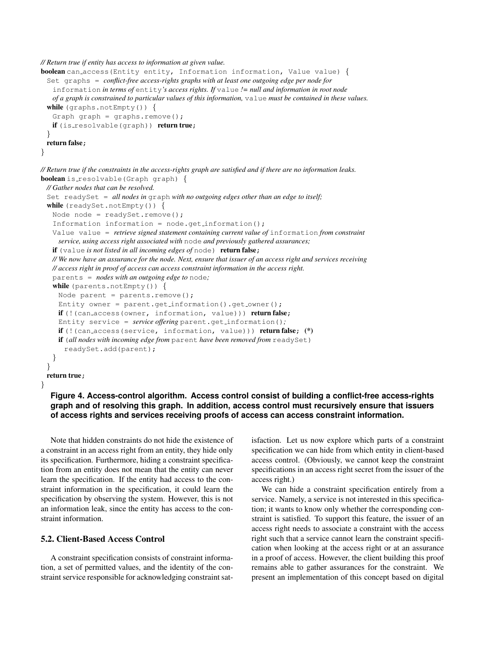*// Return true if entity has access to information at given value.*

```
boolean can access(Entity entity, Information information, Value value) {
  Set graphs = conflict-free access-rights graphs with at least one outgoing edge per node for
   information in terms of entity's access rights. If value != null and information in root node
   of a graph is constrained to particular values of this information, value must be contained in these values.
  while (graphs.notEmpty()) {
   Graph graph = graphs.remove();
   if (is resolvable(graph)) return true;
  }
  return false;
}
// Return true if the constraints in the access-rights graph are satisfied and if there are no information leaks.
boolean is resolvable(Graph graph) {
 // Gather nodes that can be resolved.
  Set readySet = all nodes in graph with no outgoing edges other than an edge to itself;
  while (readySet.notEmpty()) {
   Node node = readySet.remove();
   Information information = node.get information();
   Value value = retrieve signed statement containing current value of information from constraint
     service, using access right associated with node and previously gathered assurances;
   if (value is not listed in all incoming edges of node) return false;
   // We now have an assurance for the node. Next, ensure that issuer of an access right and services receiving
   // access right in proof of access can access constraint information in the access right.
   parents = nodes with an outgoing edge to node;
   while (parents.notEmpty()) {
     Node parent = parents.remove();
     Entity owner = parent.get information().get owner();
     if (!(can access(owner, information, value))) return false;
     Entity service = service offering parent.get information();
     if (!(can access(service, information, value))) return false; (*)
     if (all nodes with incoming edge from parent have been removed from readySet)
       readySet.add(parent);
   }
  }
  return true;
}
```
## **Figure 4. Access-control algorithm. Access control consist of building a conflict-free access-rights graph and of resolving this graph. In addition, access control must recursively ensure that issuers of access rights and services receiving proofs of access can access constraint information.**

Note that hidden constraints do not hide the existence of a constraint in an access right from an entity, they hide only its specification. Furthermore, hiding a constraint specification from an entity does not mean that the entity can never learn the specification. If the entity had access to the constraint information in the specification, it could learn the specification by observing the system. However, this is not an information leak, since the entity has access to the constraint information.

## **5.2. Client-Based Access Control**

A constraint specification consists of constraint information, a set of permitted values, and the identity of the constraint service responsible for acknowledging constraint satisfaction. Let us now explore which parts of a constraint specification we can hide from which entity in client-based access control. (Obviously, we cannot keep the constraint specifications in an access right secret from the issuer of the access right.)

We can hide a constraint specification entirely from a service. Namely, a service is not interested in this specification; it wants to know only whether the corresponding constraint is satisfied. To support this feature, the issuer of an access right needs to associate a constraint with the access right such that a service cannot learn the constraint specification when looking at the access right or at an assurance in a proof of access. However, the client building this proof remains able to gather assurances for the constraint. We present an implementation of this concept based on digital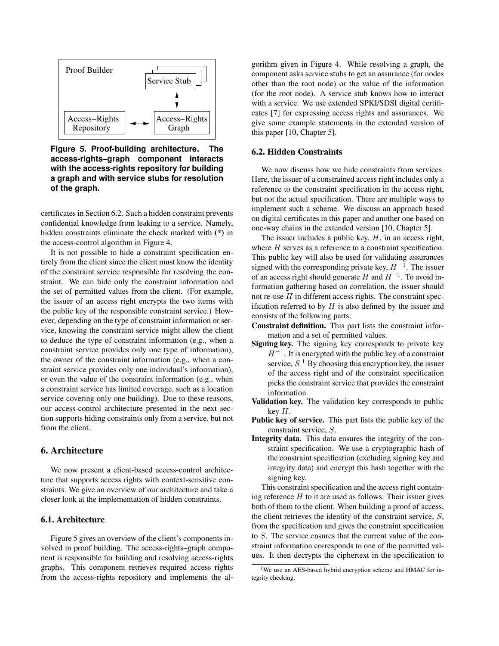

**Figure 5. Proof-building architecture. The access-rights–graph component interacts with the access-rights repository for building a graph and with service stubs for resolution of the graph.**

certificates in Section 6.2. Such a hidden constraint prevents confidential knowledge from leaking to a service. Namely, hidden constraints eliminate the check marked with **(\*)** in the access-control algorithm in Figure 4.

It is not possible to hide a constraint specification entirely from the client since the client must know the identity of the constraint service responsible for resolving the constraint. We can hide only the constraint information and the set of permitted values from the client. (For example, the issuer of an access right encrypts the two items with the public key of the responsible constraint service.) However, depending on the type of constraint information or service, knowing the constraint service might allow the client to deduce the type of constraint information (e.g., when a constraint service provides only one type of information), the owner of the constraint information (e.g., when a constraint service provides only one individual's information), or even the value of the constraint information (e.g., when a constraint service has limited coverage, such as a location service covering only one building). Due to these reasons, our access-control architecture presented in the next section supports hiding constraints only from a service, but not from the client.

## **6. Architecture**

We now present a client-based access-control architecture that supports access rights with context-sensitive constraints. We give an overview of our architecture and take a closer look at the implementation of hidden constraints.

## **6.1. Architecture**

Figure 5 gives an overview of the client's components involved in proof building. The access-rights–graph component is responsible for building and resolving access-rights graphs. This component retrieves required access rights from the access-rights repository and implements the algorithm given in Figure 4. While resolving a graph, the component asks service stubs to get an assurance (for nodes other than the root node) or the value of the information (for the root node). A service stub knows how to interact with a service. We use extended SPKI/SDSI digital certificates [7] for expressing access rights and assurances. We give some example statements in the extended version of this paper [10, Chapter 5].

## **6.2. Hidden Constraints**

We now discuss how we hide constraints from services. Here, the issuer of a constrained access right includes only a reference to the constraint specification in the access right, but not the actual specification. There are multiple ways to implement such a scheme. We discuss an approach based on digital certificates in this paper and another one based on one-way chains in the extended version [10, Chapter 5].

The issuer includes a public key,  $H$ , in an access right, where *H* serves as a reference to a constraint specification. This public key will also be used for validating assurances signed with the corresponding private key,  $H^{-1}$ . The issuer of an access right should generate H and  $H^{-1}$ . To avoid information gathering based on correlation, the issuer should not re-use  $H$  in different access rights. The constraint specification referred to by  $H$  is also defined by the issuer and consists of the following parts:

- **Constraint definition.** This part lists the constraint information and a set of permitted values.
- **Signing key.** The signing key corresponds to private key  $H^{-1}$ . It is encrypted with the public key of a constraint service,  $S^1$  By choosing this encryption key, the issuer of the access right and of the constraint specification picks the constraint service that provides the constraint information.
- **Validation key.** The validation key corresponds to public key  $H$ .
- **Public key of service.** This part lists the public key of the constraint service, S.
- **Integrity data.** This data ensures the integrity of the constraint specification. We use a cryptographic hash of the constraint specification (excluding signing key and integrity data) and encrypt this hash together with the signing key.

This constraint specification and the access right containing reference  $H$  to it are used as follows: Their issuer gives both of them to the client. When building a proof of access, the client retrieves the identity of the constraint service,  $S$ , from the specification and gives the constraint specification to S. The service ensures that the current value of the constraint information corresponds to one of the permitted values. It then decrypts the ciphertext in the specification to

<sup>&</sup>lt;sup>1</sup>We use an AES-based hybrid encryption scheme and HMAC for integrity checking.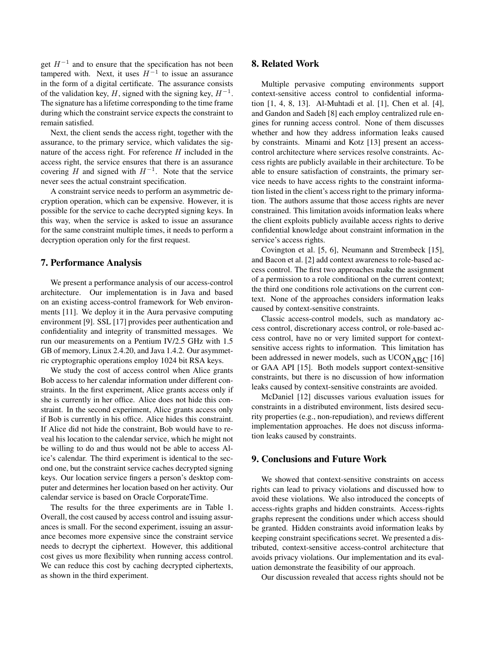get  $H^{-1}$  and to ensure that the specification has not been tampered with. Next, it uses  $H^{-1}$  to issue an assurance in the form of a digital certificate. The assurance consists of the validation key, H, signed with the signing key,  $H^{-1}$ . The signature has a lifetime corresponding to the time frame during which the constraint service expects the constraint to remain satisfied.

Next, the client sends the access right, together with the assurance, to the primary service, which validates the signature of the access right. For reference  $H$  included in the access right, the service ensures that there is an assurance covering H and signed with  $H^{-1}$ . Note that the service never sees the actual constraint specification.

A constraint service needs to perform an asymmetric decryption operation, which can be expensive. However, it is possible for the service to cache decrypted signing keys. In this way, when the service is asked to issue an assurance for the same constraint multiple times, it needs to perform a decryption operation only for the first request.

### **7. Performance Analysis**

We present a performance analysis of our access-control architecture. Our implementation is in Java and based on an existing access-control framework for Web environments [11]. We deploy it in the Aura pervasive computing environment [9]. SSL [17] provides peer authentication and confidentiality and integrity of transmitted messages. We run our measurements on a Pentium IV/2.5 GHz with 1.5 GB of memory, Linux 2.4.20, and Java 1.4.2. Our asymmetric cryptographic operations employ 1024 bit RSA keys.

We study the cost of access control when Alice grants Bob access to her calendar information under different constraints. In the first experiment, Alice grants access only if she is currently in her office. Alice does not hide this constraint. In the second experiment, Alice grants access only if Bob is currently in his office. Alice hides this constraint. If Alice did not hide the constraint, Bob would have to reveal his location to the calendar service, which he might not be willing to do and thus would not be able to access Alice's calendar. The third experiment is identical to the second one, but the constraint service caches decrypted signing keys. Our location service fingers a person's desktop computer and determines her location based on her activity. Our calendar service is based on Oracle CorporateTime.

The results for the three experiments are in Table 1. Overall, the cost caused by access control and issuing assurances is small. For the second experiment, issuing an assurance becomes more expensive since the constraint service needs to decrypt the ciphertext. However, this additional cost gives us more flexibility when running access control. We can reduce this cost by caching decrypted ciphertexts, as shown in the third experiment.

## **8. Related Work**

Multiple pervasive computing environments support context-sensitive access control to confidential information [1, 4, 8, 13]. Al-Muhtadi et al. [1], Chen et al. [4], and Gandon and Sadeh [8] each employ centralized rule engines for running access control. None of them discusses whether and how they address information leaks caused by constraints. Minami and Kotz [13] present an accesscontrol architecture where services resolve constraints. Access rights are publicly available in their architecture. To be able to ensure satisfaction of constraints, the primary service needs to have access rights to the constraint information listed in the client's access right to the primary information. The authors assume that those access rights are never constrained. This limitation avoids information leaks where the client exploits publicly available access rights to derive confidential knowledge about constraint information in the service's access rights.

Covington et al. [5, 6], Neumann and Strembeck [15], and Bacon et al. [2] add context awareness to role-based access control. The first two approaches make the assignment of a permission to a role conditional on the current context; the third one conditions role activations on the current context. None of the approaches considers information leaks caused by context-sensitive constraints.

Classic access-control models, such as mandatory access control, discretionary access control, or role-based access control, have no or very limited support for contextsensitive access rights to information. This limitation has been addressed in newer models, such as  $UCON<sub>ABC</sub>$  [16] or GAA API [15]. Both models support context-sensitive constraints, but there is no discussion of how information leaks caused by context-sensitive constraints are avoided.

McDaniel [12] discusses various evaluation issues for constraints in a distributed environment, lists desired security properties (e.g., non-repudiation), and reviews different implementation approaches. He does not discuss information leaks caused by constraints.

### **9. Conclusions and Future Work**

We showed that context-sensitive constraints on access rights can lead to privacy violations and discussed how to avoid these violations. We also introduced the concepts of access-rights graphs and hidden constraints. Access-rights graphs represent the conditions under which access should be granted. Hidden constraints avoid information leaks by keeping constraint specifications secret. We presented a distributed, context-sensitive access-control architecture that avoids privacy violations. Our implementation and its evaluation demonstrate the feasibility of our approach.

Our discussion revealed that access rights should not be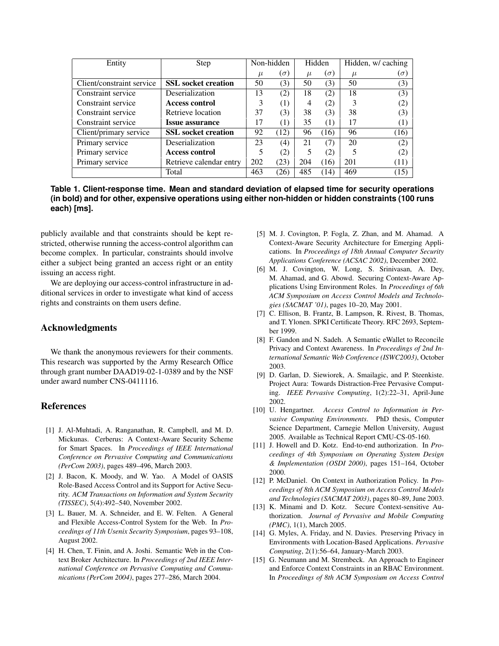| Entity                    | Step                       | Non-hidden |            | Hidden |            | Hidden, w/ caching |            |
|---------------------------|----------------------------|------------|------------|--------|------------|--------------------|------------|
|                           |                            | μ          | $(\sigma)$ |        | $(\sigma)$ | μ                  | $(\sigma)$ |
| Client/constraint service | <b>SSL</b> socket creation | 50         | (3)        | 50     | (3)        | 50                 | (3)        |
| Constraint service        | Deserialization            | 13         | (2)        | 18     | (2)        | 18                 | (3)        |
| Constraint service        | Access control             | 3          | (1)        | 4      | (2)        |                    |            |
| Constraint service        | Retrieve location          | 37         | (3)        | 38     | (3)        | 38                 | (3)        |
| Constraint service        | <b>Issue assurance</b>     | 17         | (1)        | 35     | (1)        | 17                 |            |
| Client/primary service    | <b>SSL</b> socket creation | 92         | (12)       | 96     | (16)       | 96                 | (16)       |
| Primary service           | Deserialization            | 23         | (4)        | 21     | (7)        | 20                 | (2)        |
| Primary service           | <b>Access control</b>      |            | (2)        |        | (2)        |                    |            |
| Primary service           | Retrieve calendar entry    | 202        | (23)       | 204    | (16)       | 201                | (11)       |
|                           | Total                      | 463        | (26)       | 485    | (14)       | 469                | (15)       |

**Table 1. Client-response time. Mean and standard deviation of elapsed time for security operations (in bold) and for other, expensive operations using either non-hidden or hidden constraints (100 runs each) [ms].**

publicly available and that constraints should be kept restricted, otherwise running the access-control algorithm can become complex. In particular, constraints should involve either a subject being granted an access right or an entity issuing an access right.

We are deploying our access-control infrastructure in additional services in order to investigate what kind of access rights and constraints on them users define.

## **Acknowledgments**

We thank the anonymous reviewers for their comments. This research was supported by the Army Research Office through grant number DAAD19-02-1-0389 and by the NSF under award number CNS-0411116.

## **References**

- [1] J. Al-Muhtadi, A. Ranganathan, R. Campbell, and M. D. Mickunas. Cerberus: A Context-Aware Security Scheme for Smart Spaces. In *Proceedings of IEEE International Conference on Pervasive Computing and Communications (PerCom 2003)*, pages 489–496, March 2003.
- [2] J. Bacon, K. Moody, and W. Yao. A Model of OASIS Role-Based Access Control and its Support for Active Security. *ACM Transactions on Information and System Security (TISSEC)*, 5(4):492–540, November 2002.
- [3] L. Bauer, M. A. Schneider, and E. W. Felten. A General and Flexible Access-Control System for the Web. In *Proceedings of 11th Usenix Security Symposium*, pages 93–108, August 2002.
- [4] H. Chen, T. Finin, and A. Joshi. Semantic Web in the Context Broker Architecture. In *Proceedings of 2nd IEEE International Conference on Pervasive Computing and Communications (PerCom 2004)*, pages 277–286, March 2004.
- [5] M. J. Covington, P. Fogla, Z. Zhan, and M. Ahamad. A Context-Aware Security Architecture for Emerging Applications. In *Proceedings of 18th Annual Computer Security Applications Conference (ACSAC 2002)*, December 2002.
- [6] M. J. Covington, W. Long, S. Srinivasan, A. Dey, M. Ahamad, and G. Abowd. Securing Context-Aware Applications Using Environment Roles. In *Proceedings of 6th ACM Symposium on Access Control Models and Technologies (SACMAT '01)*, pages 10–20, May 2001.
- [7] C. Ellison, B. Frantz, B. Lampson, R. Rivest, B. Thomas, and T. Ylonen. SPKI Certificate Theory. RFC 2693, September 1999.
- [8] F. Gandon and N. Sadeh. A Semantic eWallet to Reconcile Privacy and Context Awareness. In *Proceedings of 2nd International Semantic Web Conference (ISWC2003)*, October 2003.
- [9] D. Garlan, D. Siewiorek, A. Smailagic, and P. Steenkiste. Project Aura: Towards Distraction-Free Pervasive Computing. *IEEE Pervasive Computing*, 1(2):22–31, April-June 2002.
- [10] U. Hengartner. *Access Control to Information in Pervasive Computing Environments*. PhD thesis, Computer Science Department, Carnegie Mellon University, August 2005. Available as Technical Report CMU-CS-05-160.
- [11] J. Howell and D. Kotz. End-to-end authorization. In *Proceedings of 4th Symposium on Operating System Design & Implementation (OSDI 2000)*, pages 151–164, October 2000.
- [12] P. McDaniel. On Context in Authorization Policy. In *Proceedings of 8th ACM Symposium on Access Control Models and Technologies (SACMAT 2003)*, pages 80–89, June 2003.
- [13] K. Minami and D. Kotz. Secure Context-sensitive Authorization. *Journal of Pervasive and Mobile Computing (PMC)*, 1(1), March 2005.
- [14] G. Myles, A. Friday, and N. Davies. Preserving Privacy in Environments with Location-Based Applications. *Pervasive Computing*, 2(1):56–64, January-March 2003.
- [15] G. Neumann and M. Strembeck. An Approach to Engineer and Enforce Context Constraints in an RBAC Environment. In *Proceedings of 8th ACM Symposium on Access Control*